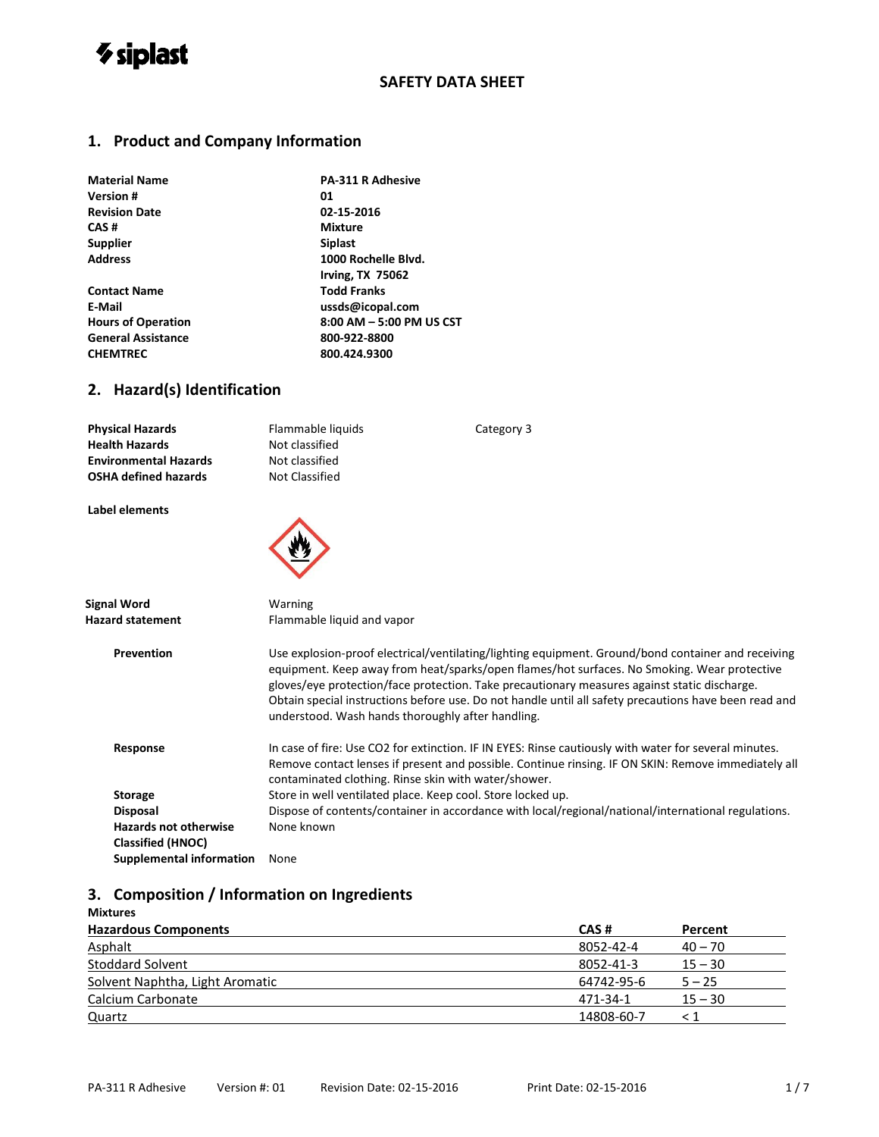

#### **1. Product and Company Information**

| <b>Material Name</b>      | <b>PA-311 R Adhesive</b> |
|---------------------------|--------------------------|
| <b>Version#</b>           | 01                       |
| <b>Revision Date</b>      | 02-15-2016               |
| CAS#                      | <b>Mixture</b>           |
| <b>Supplier</b>           | <b>Siplast</b>           |
| <b>Address</b>            | 1000 Rochelle Blvd.      |
|                           | <b>Irving, TX 75062</b>  |
| <b>Contact Name</b>       | <b>Todd Franks</b>       |
| E-Mail                    | ussds@icopal.com         |
| <b>Hours of Operation</b> | 8:00 AM - 5:00 PM US CST |
| <b>General Assistance</b> | 800-922-8800             |
| <b>CHEMTREC</b>           | 800.424.9300             |
|                           |                          |

#### **2. Hazard(s) Identification**

| <b>Physical Hazards</b>      | Flammable liquids |
|------------------------------|-------------------|
| <b>Health Hazards</b>        | Not classified    |
| <b>Environmental Hazards</b> | Not classified    |
| <b>OSHA defined hazards</b>  | Not Classified    |
|                              |                   |
| Label elements               |                   |

**Signal Word** Warning **Hazard statement** Flammable liquid and vapor **Prevention** Use explosion-proof electrical/ventilating/lighting equipment. Ground/bond container and receiving equipment. Keep away from heat/sparks/open flames/hot surfaces. No Smoking. Wear protective gloves/eye protection/face protection. Take precautionary measures against static discharge. Obtain special instructions before use. Do not handle until all safety precautions have been read and understood. Wash hands thoroughly after handling. Response **In case of fire: Use CO2 for extinction. IF IN EYES: Rinse cautiously with water for several minutes.** Remove contact lenses if present and possible. Continue rinsing. IF ON SKIN: Remove immediately all contaminated clothing. Rinse skin with water/shower. **Storage** Store in well ventilated place. Keep cool. Store locked up. **Disposal** Dispose of contents/container in accordance with local/regional/national/international regulations. **Hazards not otherwise** None known **Classified (HNOC) Supplemental information** None

**Category 3** 

#### **3. Composition / Information on Ingredients**

| <b>Mixtures</b>                 |            |           |
|---------------------------------|------------|-----------|
| <b>Hazardous Components</b>     | CAS#       | Percent   |
| Asphalt                         | 8052-42-4  | $40 - 70$ |
| <b>Stoddard Solvent</b>         | 8052-41-3  | $15 - 30$ |
| Solvent Naphtha, Light Aromatic | 64742-95-6 | $5 - 25$  |
| Calcium Carbonate               | 471-34-1   | $15 - 30$ |
| Quartz                          | 14808-60-7 | ← 1       |
|                                 |            |           |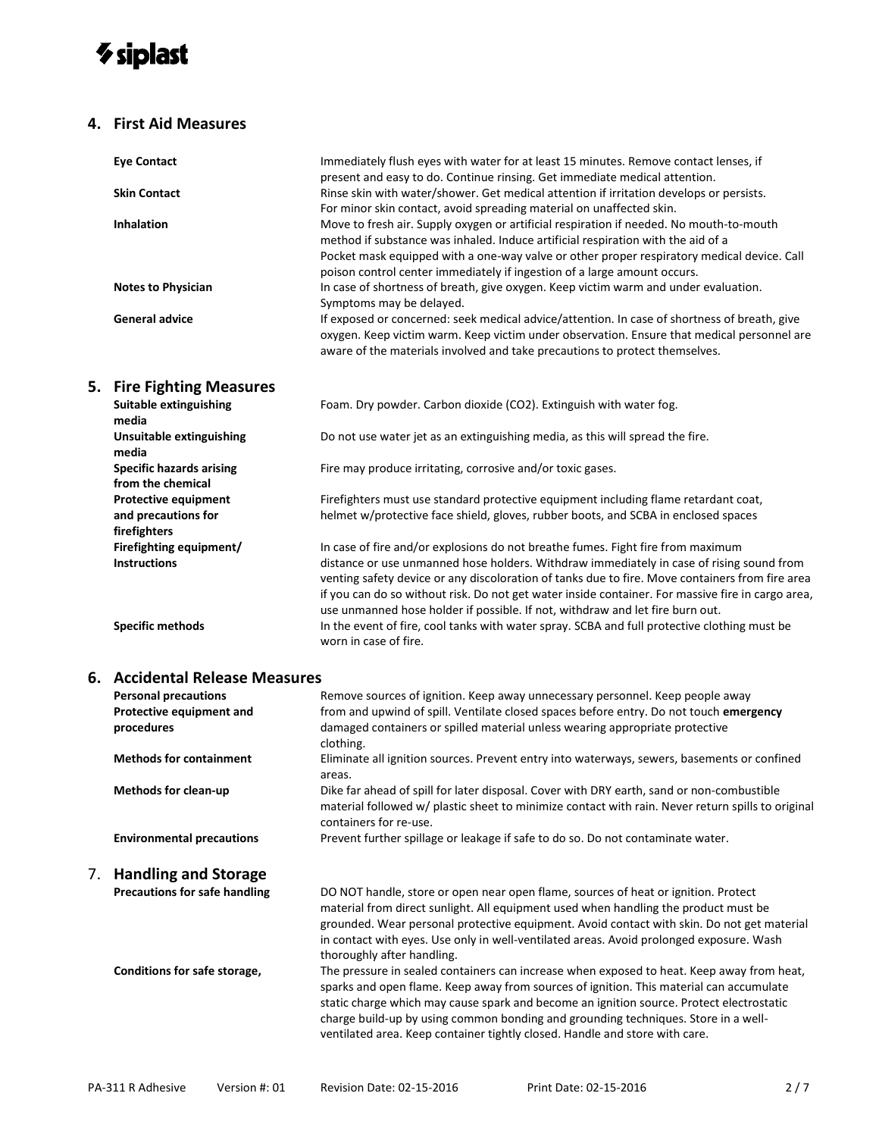## *V* siplast

#### **4. First Aid Measures**

| <b>Eye Contact</b>                                                 | Immediately flush eyes with water for at least 15 minutes. Remove contact lenses, if<br>present and easy to do. Continue rinsing. Get immediate medical attention.                                                                                                                                                                                                                                                                                                   |
|--------------------------------------------------------------------|----------------------------------------------------------------------------------------------------------------------------------------------------------------------------------------------------------------------------------------------------------------------------------------------------------------------------------------------------------------------------------------------------------------------------------------------------------------------|
| <b>Skin Contact</b>                                                | Rinse skin with water/shower. Get medical attention if irritation develops or persists.<br>For minor skin contact, avoid spreading material on unaffected skin.                                                                                                                                                                                                                                                                                                      |
| <b>Inhalation</b>                                                  | Move to fresh air. Supply oxygen or artificial respiration if needed. No mouth-to-mouth<br>method if substance was inhaled. Induce artificial respiration with the aid of a<br>Pocket mask equipped with a one-way valve or other proper respiratory medical device. Call<br>poison control center immediately if ingestion of a large amount occurs.                                                                                                                |
| <b>Notes to Physician</b>                                          | In case of shortness of breath, give oxygen. Keep victim warm and under evaluation.<br>Symptoms may be delayed.                                                                                                                                                                                                                                                                                                                                                      |
| <b>General advice</b>                                              | If exposed or concerned: seek medical advice/attention. In case of shortness of breath, give<br>oxygen. Keep victim warm. Keep victim under observation. Ensure that medical personnel are<br>aware of the materials involved and take precautions to protect themselves.                                                                                                                                                                                            |
| 5. Fire Fighting Measures                                          |                                                                                                                                                                                                                                                                                                                                                                                                                                                                      |
| <b>Suitable extinguishing</b><br>media                             | Foam. Dry powder. Carbon dioxide (CO2). Extinguish with water fog.                                                                                                                                                                                                                                                                                                                                                                                                   |
| Unsuitable extinguishing<br>media                                  | Do not use water jet as an extinguishing media, as this will spread the fire.                                                                                                                                                                                                                                                                                                                                                                                        |
| <b>Specific hazards arising</b><br>from the chemical               | Fire may produce irritating, corrosive and/or toxic gases.                                                                                                                                                                                                                                                                                                                                                                                                           |
| <b>Protective equipment</b><br>and precautions for<br>firefighters | Firefighters must use standard protective equipment including flame retardant coat,<br>helmet w/protective face shield, gloves, rubber boots, and SCBA in enclosed spaces                                                                                                                                                                                                                                                                                            |
| Firefighting equipment/<br><b>Instructions</b>                     | In case of fire and/or explosions do not breathe fumes. Fight fire from maximum<br>distance or use unmanned hose holders. Withdraw immediately in case of rising sound from<br>venting safety device or any discoloration of tanks due to fire. Move containers from fire area<br>if you can do so without risk. Do not get water inside container. For massive fire in cargo area,<br>use unmanned hose holder if possible. If not, withdraw and let fire burn out. |

**Specific methods** In the event of fire, cool tanks with water spray. SCBA and full protective clothing must be

## **6. Accidental Release Measures**

| <b>Personal precautions</b>          | Remove sources of ignition. Keep away unnecessary personnel. Keep people away                                                                                                                                                                                                                                                                                                                                                                         |  |  |
|--------------------------------------|-------------------------------------------------------------------------------------------------------------------------------------------------------------------------------------------------------------------------------------------------------------------------------------------------------------------------------------------------------------------------------------------------------------------------------------------------------|--|--|
| Protective equipment and             | from and upwind of spill. Ventilate closed spaces before entry. Do not touch emergency                                                                                                                                                                                                                                                                                                                                                                |  |  |
| procedures                           | damaged containers or spilled material unless wearing appropriate protective<br>clothing.                                                                                                                                                                                                                                                                                                                                                             |  |  |
| <b>Methods for containment</b>       | Eliminate all ignition sources. Prevent entry into waterways, sewers, basements or confined<br>areas.                                                                                                                                                                                                                                                                                                                                                 |  |  |
| <b>Methods for clean-up</b>          | Dike far ahead of spill for later disposal. Cover with DRY earth, sand or non-combustible<br>material followed w/ plastic sheet to minimize contact with rain. Never return spills to original<br>containers for re-use.                                                                                                                                                                                                                              |  |  |
| <b>Environmental precautions</b>     | Prevent further spillage or leakage if safe to do so. Do not contaminate water.                                                                                                                                                                                                                                                                                                                                                                       |  |  |
| 7. Handling and Storage              |                                                                                                                                                                                                                                                                                                                                                                                                                                                       |  |  |
| <b>Precautions for safe handling</b> | DO NOT handle, store or open near open flame, sources of heat or ignition. Protect<br>material from direct sunlight. All equipment used when handling the product must be<br>grounded. Wear personal protective equipment. Avoid contact with skin. Do not get material<br>in contact with eyes. Use only in well-ventilated areas. Avoid prolonged exposure. Wash<br>thoroughly after handling.                                                      |  |  |
| Conditions for safe storage,         | The pressure in sealed containers can increase when exposed to heat. Keep away from heat,<br>sparks and open flame. Keep away from sources of ignition. This material can accumulate<br>static charge which may cause spark and become an ignition source. Protect electrostatic<br>charge build-up by using common bonding and grounding techniques. Store in a well-<br>ventilated area. Keep container tightly closed. Handle and store with care. |  |  |
|                                      |                                                                                                                                                                                                                                                                                                                                                                                                                                                       |  |  |

worn in case of fire.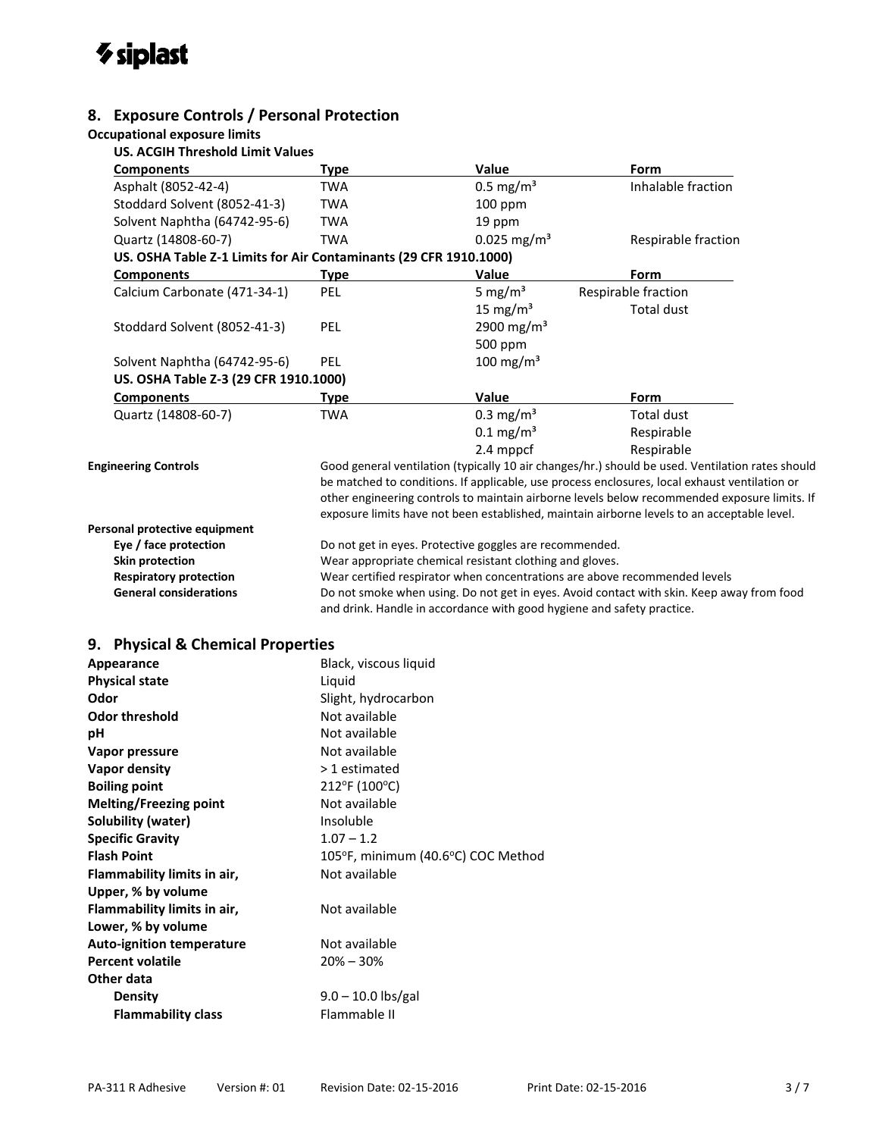## *V* siplast

#### **8. Exposure Controls / Personal Protection**

#### **Occupational exposure limits**

**US. ACGIH Threshold Limit Values**

| <b>Components</b>                                                 | <b>Type</b>                                                                               | Value                                                                      | Form                                                                                                                                                                                                                                                                                                                                                                                             |  |
|-------------------------------------------------------------------|-------------------------------------------------------------------------------------------|----------------------------------------------------------------------------|--------------------------------------------------------------------------------------------------------------------------------------------------------------------------------------------------------------------------------------------------------------------------------------------------------------------------------------------------------------------------------------------------|--|
| Asphalt (8052-42-4)                                               | <b>TWA</b>                                                                                | $0.5$ mg/m <sup>3</sup>                                                    | Inhalable fraction                                                                                                                                                                                                                                                                                                                                                                               |  |
| Stoddard Solvent (8052-41-3)                                      | <b>TWA</b>                                                                                | $100$ ppm                                                                  |                                                                                                                                                                                                                                                                                                                                                                                                  |  |
| Solvent Naphtha (64742-95-6)                                      | <b>TWA</b>                                                                                | 19 ppm                                                                     |                                                                                                                                                                                                                                                                                                                                                                                                  |  |
| Quartz (14808-60-7)                                               | <b>TWA</b>                                                                                | $0.025$ mg/m <sup>3</sup>                                                  | Respirable fraction                                                                                                                                                                                                                                                                                                                                                                              |  |
| US. OSHA Table Z-1 Limits for Air Contaminants (29 CFR 1910.1000) |                                                                                           |                                                                            |                                                                                                                                                                                                                                                                                                                                                                                                  |  |
| <b>Components</b>                                                 | Type                                                                                      | Value                                                                      | Form                                                                                                                                                                                                                                                                                                                                                                                             |  |
| Calcium Carbonate (471-34-1)                                      | PEL                                                                                       | 5 mg/m <sup>3</sup>                                                        | Respirable fraction                                                                                                                                                                                                                                                                                                                                                                              |  |
|                                                                   |                                                                                           | 15 mg/m <sup>3</sup>                                                       | <b>Total dust</b>                                                                                                                                                                                                                                                                                                                                                                                |  |
| Stoddard Solvent (8052-41-3)                                      | PEL                                                                                       | 2900 mg/m <sup>3</sup>                                                     |                                                                                                                                                                                                                                                                                                                                                                                                  |  |
|                                                                   |                                                                                           | 500 ppm                                                                    |                                                                                                                                                                                                                                                                                                                                                                                                  |  |
| Solvent Naphtha (64742-95-6)                                      | PEL                                                                                       | $100 \text{ mg/m}^3$                                                       |                                                                                                                                                                                                                                                                                                                                                                                                  |  |
| US. OSHA Table Z-3 (29 CFR 1910.1000)                             |                                                                                           |                                                                            |                                                                                                                                                                                                                                                                                                                                                                                                  |  |
| <b>Components</b>                                                 | <b>Type</b>                                                                               | Value                                                                      | Form                                                                                                                                                                                                                                                                                                                                                                                             |  |
| Quartz (14808-60-7)                                               | <b>TWA</b>                                                                                | $0.3$ mg/m <sup>3</sup>                                                    | Total dust                                                                                                                                                                                                                                                                                                                                                                                       |  |
|                                                                   |                                                                                           | $0.1 \,\mathrm{mg/m^3}$                                                    | Respirable                                                                                                                                                                                                                                                                                                                                                                                       |  |
|                                                                   |                                                                                           | 2.4 mppcf                                                                  | Respirable                                                                                                                                                                                                                                                                                                                                                                                       |  |
| <b>Engineering Controls</b>                                       |                                                                                           |                                                                            | Good general ventilation (typically 10 air changes/hr.) should be used. Ventilation rates should<br>be matched to conditions. If applicable, use process enclosures, local exhaust ventilation or<br>other engineering controls to maintain airborne levels below recommended exposure limits. If<br>exposure limits have not been established, maintain airborne levels to an acceptable level. |  |
| Personal protective equipment                                     |                                                                                           |                                                                            |                                                                                                                                                                                                                                                                                                                                                                                                  |  |
| Eye / face protection                                             |                                                                                           | Do not get in eyes. Protective goggles are recommended.                    |                                                                                                                                                                                                                                                                                                                                                                                                  |  |
| <b>Skin protection</b>                                            |                                                                                           | Wear appropriate chemical resistant clothing and gloves.                   |                                                                                                                                                                                                                                                                                                                                                                                                  |  |
| <b>Respiratory protection</b>                                     |                                                                                           | Wear certified respirator when concentrations are above recommended levels |                                                                                                                                                                                                                                                                                                                                                                                                  |  |
| <b>General considerations</b>                                     | Do not smoke when using. Do not get in eyes. Avoid contact with skin. Keep away from food |                                                                            |                                                                                                                                                                                                                                                                                                                                                                                                  |  |
|                                                                   | and drink. Handle in accordance with good hygiene and safety practice.                    |                                                                            |                                                                                                                                                                                                                                                                                                                                                                                                  |  |

#### **9. Physical & Chemical Properties**

| Appearance                       | Black, viscous liquid              |
|----------------------------------|------------------------------------|
| <b>Physical state</b>            | Liquid                             |
| Odor                             | Slight, hydrocarbon                |
| <b>Odor threshold</b>            | Not available                      |
| рH                               | Not available                      |
| Vapor pressure                   | Not available                      |
| Vapor density                    | > 1 estimated                      |
| <b>Boiling point</b>             | 212°F (100°C)                      |
| <b>Melting/Freezing point</b>    | Not available                      |
| <b>Solubility (water)</b>        | Insoluble                          |
| <b>Specific Gravity</b>          | $1.07 - 1.2$                       |
| <b>Flash Point</b>               | 105°F, minimum (40.6°C) COC Method |
| Flammability limits in air,      | Not available                      |
| Upper, % by volume               |                                    |
| Flammability limits in air,      | Not available                      |
| Lower, % by volume               |                                    |
| <b>Auto-ignition temperature</b> | Not available                      |
| <b>Percent volatile</b>          | $20\% - 30\%$                      |
| Other data                       |                                    |
| Density                          | $9.0 - 10.0$ lbs/gal               |
| <b>Flammability class</b>        | Flammable II                       |
|                                  |                                    |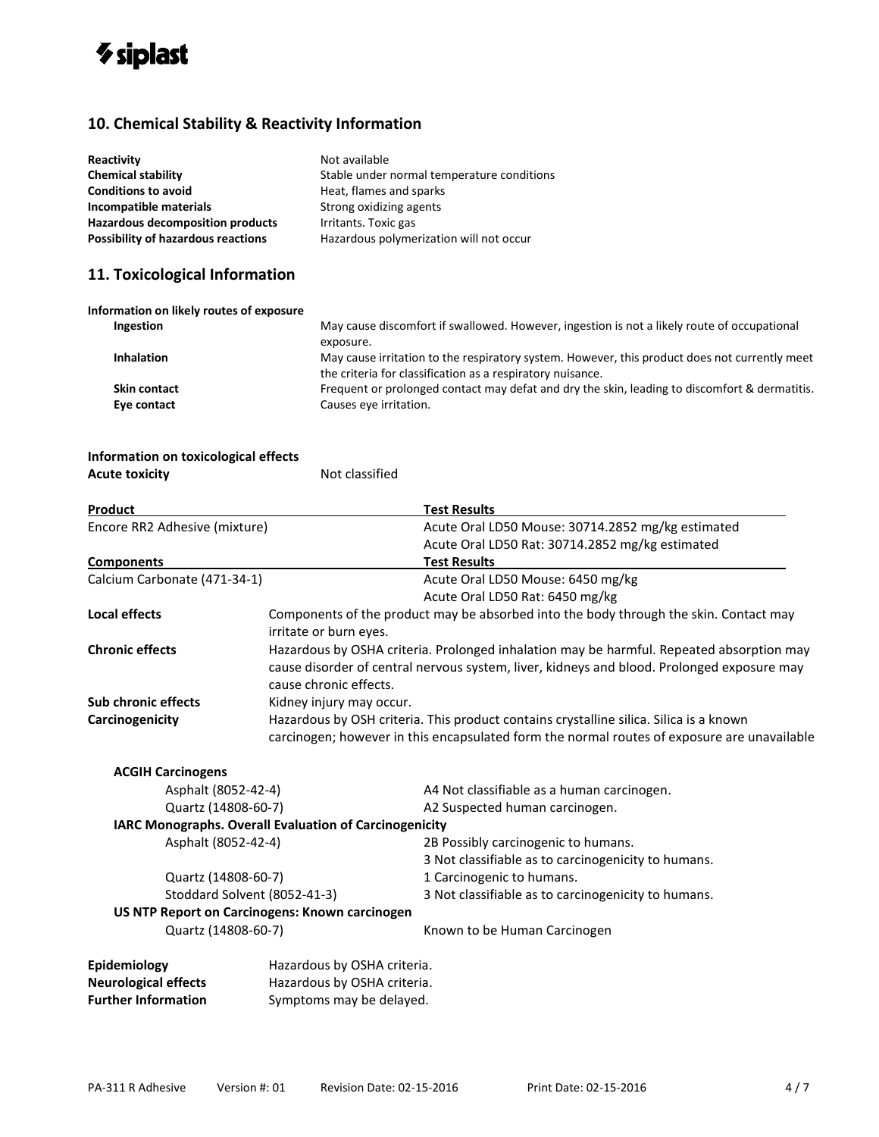

### **10. Chemical Stability & Reactivity Information**

| Reactivity<br><b>Chemical stability</b><br><b>Conditions to avoid</b><br>Incompatible materials<br><b>Hazardous decomposition products</b> | Not available<br>Stable under normal temperature conditions<br>Heat, flames and sparks<br>Strong oxidizing agents<br>Irritants. Toxic gas                   |  |
|--------------------------------------------------------------------------------------------------------------------------------------------|-------------------------------------------------------------------------------------------------------------------------------------------------------------|--|
| <b>Possibility of hazardous reactions</b><br>Hazardous polymerization will not occur                                                       |                                                                                                                                                             |  |
| 11. Toxicological Information                                                                                                              |                                                                                                                                                             |  |
| Information on likely routes of exposure                                                                                                   |                                                                                                                                                             |  |
| <b>Ingestion</b>                                                                                                                           | May cause discomfort if swallowed. However, ingestion is not a likely route of occupational<br>exposure.                                                    |  |
| <b>Inhalation</b>                                                                                                                          | May cause irritation to the respiratory system. However, this product does not currently meet<br>the criteria for classification as a respiratory nuisance. |  |
| <b>Skin contact</b>                                                                                                                        | Frequent or prolonged contact may defat and dry the skin, leading to discomfort & dermatitis.                                                               |  |
| Eye contact                                                                                                                                | Causes eye irritation.                                                                                                                                      |  |

#### **Information on toxicological effects Acute toxicity Not classified**

| Product                                                |                                                                                                                                                                                                                  | <b>Test Results</b>                                                                         |
|--------------------------------------------------------|------------------------------------------------------------------------------------------------------------------------------------------------------------------------------------------------------------------|---------------------------------------------------------------------------------------------|
| Encore RR2 Adhesive (mixture)                          |                                                                                                                                                                                                                  | Acute Oral LD50 Mouse: 30714.2852 mg/kg estimated                                           |
|                                                        |                                                                                                                                                                                                                  | Acute Oral LD50 Rat: 30714.2852 mg/kg estimated                                             |
| <b>Components</b>                                      |                                                                                                                                                                                                                  | <b>Test Results</b>                                                                         |
| Calcium Carbonate (471-34-1)                           |                                                                                                                                                                                                                  | Acute Oral LD50 Mouse: 6450 mg/kg                                                           |
|                                                        |                                                                                                                                                                                                                  | Acute Oral LD50 Rat: 6450 mg/kg                                                             |
| <b>Local effects</b>                                   | Components of the product may be absorbed into the body through the skin. Contact may<br>irritate or burn eyes.                                                                                                  |                                                                                             |
| <b>Chronic effects</b>                                 | Hazardous by OSHA criteria. Prolonged inhalation may be harmful. Repeated absorption may<br>cause disorder of central nervous system, liver, kidneys and blood. Prolonged exposure may<br>cause chronic effects. |                                                                                             |
| <b>Sub chronic effects</b>                             | Kidney injury may occur.                                                                                                                                                                                         |                                                                                             |
| Carcinogenicity                                        |                                                                                                                                                                                                                  | Hazardous by OSH criteria. This product contains crystalline silica. Silica is a known      |
|                                                        |                                                                                                                                                                                                                  | carcinogen; however in this encapsulated form the normal routes of exposure are unavailable |
| <b>ACGIH Carcinogens</b>                               |                                                                                                                                                                                                                  |                                                                                             |
| Asphalt (8052-42-4)                                    |                                                                                                                                                                                                                  | A4 Not classifiable as a human carcinogen.                                                  |
| Quartz (14808-60-7)                                    |                                                                                                                                                                                                                  | A2 Suspected human carcinogen.                                                              |
| IARC Monographs. Overall Evaluation of Carcinogenicity |                                                                                                                                                                                                                  |                                                                                             |
| Asphalt (8052-42-4)                                    |                                                                                                                                                                                                                  | 2B Possibly carcinogenic to humans.                                                         |
|                                                        |                                                                                                                                                                                                                  | 3 Not classifiable as to carcinogenicity to humans.                                         |
| Quartz (14808-60-7)                                    |                                                                                                                                                                                                                  | 1 Carcinogenic to humans.                                                                   |
| Stoddard Solvent (8052-41-3)                           |                                                                                                                                                                                                                  | 3 Not classifiable as to carcinogenicity to humans.                                         |
| US NTP Report on Carcinogens: Known carcinogen         |                                                                                                                                                                                                                  |                                                                                             |
| Quartz (14808-60-7)                                    |                                                                                                                                                                                                                  | Known to be Human Carcinogen                                                                |
| Epidemiology                                           | Hazardous by OSHA criteria.                                                                                                                                                                                      |                                                                                             |
| <b>Neurological effects</b>                            | Hazardous by OSHA criteria.                                                                                                                                                                                      |                                                                                             |
| <b>Further Information</b>                             | Symptoms may be delayed.                                                                                                                                                                                         |                                                                                             |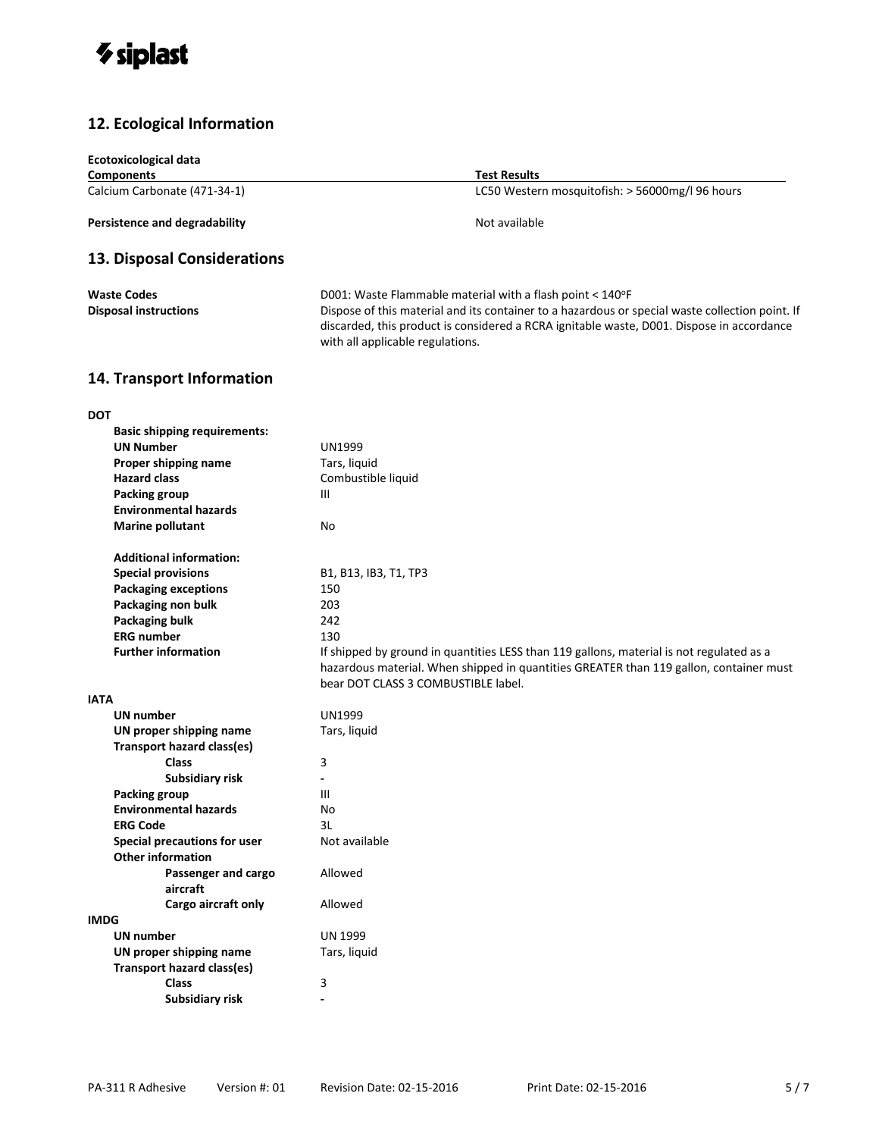

### **12. Ecological Information**

| <b>Ecotoxicological data</b>         |                                                                                                                                                                                                                                  |  |
|--------------------------------------|----------------------------------------------------------------------------------------------------------------------------------------------------------------------------------------------------------------------------------|--|
| <b>Components</b>                    | Test Results                                                                                                                                                                                                                     |  |
| Calcium Carbonate (471-34-1)         | LC50 Western mosquitofish: > 56000mg/l 96 hours                                                                                                                                                                                  |  |
| <b>Persistence and degradability</b> | Not available                                                                                                                                                                                                                    |  |
| 13. Disposal Considerations          |                                                                                                                                                                                                                                  |  |
| <b>Waste Codes</b>                   | D001: Waste Flammable material with a flash point < 140°F                                                                                                                                                                        |  |
| <b>Disposal instructions</b>         | Dispose of this material and its container to a hazardous or special waste collection point. If<br>discarded, this product is considered a RCRA ignitable waste, D001. Dispose in accordance<br>with all applicable regulations. |  |
| 14. Transport Information            |                                                                                                                                                                                                                                  |  |
| <b>DOT</b>                           |                                                                                                                                                                                                                                  |  |
| <b>Basic shipping requirements:</b>  |                                                                                                                                                                                                                                  |  |
| <b>UN Number</b>                     | <b>UN1999</b>                                                                                                                                                                                                                    |  |
| Proper shipping name                 | Tars, liquid                                                                                                                                                                                                                     |  |
| <b>Hazard class</b>                  | Combustible liquid                                                                                                                                                                                                               |  |
| <b>Packing group</b>                 | Ш                                                                                                                                                                                                                                |  |
| <b>Environmental hazards</b>         |                                                                                                                                                                                                                                  |  |
| <b>Marine pollutant</b>              | No                                                                                                                                                                                                                               |  |
| <b>Additional information:</b>       |                                                                                                                                                                                                                                  |  |
| <b>Special provisions</b>            | B1, B13, IB3, T1, TP3                                                                                                                                                                                                            |  |
| <b>Packaging exceptions</b>          | 150                                                                                                                                                                                                                              |  |
| Packaging non bulk                   | 203                                                                                                                                                                                                                              |  |
| <b>Packaging bulk</b>                | 242                                                                                                                                                                                                                              |  |
| <b>ERG number</b>                    | 130                                                                                                                                                                                                                              |  |
| <b>Further information</b>           | If shipped by ground in quantities LESS than 119 gallons, material is not regulated as a<br>hazardous material. When shipped in quantities GREATER than 119 gallon, container must<br>bear DOT CLASS 3 COMBUSTIBLE label.        |  |
| <b>IATA</b>                          |                                                                                                                                                                                                                                  |  |
| UN number                            | <b>UN1999</b>                                                                                                                                                                                                                    |  |
| UN proper shipping name              | Tars, liquid                                                                                                                                                                                                                     |  |
| <b>Transport hazard class(es)</b>    |                                                                                                                                                                                                                                  |  |
| Class                                | 3                                                                                                                                                                                                                                |  |
| Subsidiary risk                      | -                                                                                                                                                                                                                                |  |
| Packing group                        | Ш                                                                                                                                                                                                                                |  |
| <b>Environmental hazards</b>         | No                                                                                                                                                                                                                               |  |
| <b>ERG Code</b>                      | 3L                                                                                                                                                                                                                               |  |
| Special precautions for user         | Not available                                                                                                                                                                                                                    |  |
| <b>Other information</b>             |                                                                                                                                                                                                                                  |  |
| Passenger and cargo<br>aircraft      | Allowed                                                                                                                                                                                                                          |  |
| Cargo aircraft only                  | Allowed                                                                                                                                                                                                                          |  |
| <b>IMDG</b>                          |                                                                                                                                                                                                                                  |  |
| <b>UN number</b>                     | <b>UN 1999</b>                                                                                                                                                                                                                   |  |
| UN proper shipping name              | Tars, liquid                                                                                                                                                                                                                     |  |
| <b>Transport hazard class(es)</b>    |                                                                                                                                                                                                                                  |  |
| <b>Class</b>                         | 3                                                                                                                                                                                                                                |  |
| Subsidiary risk                      |                                                                                                                                                                                                                                  |  |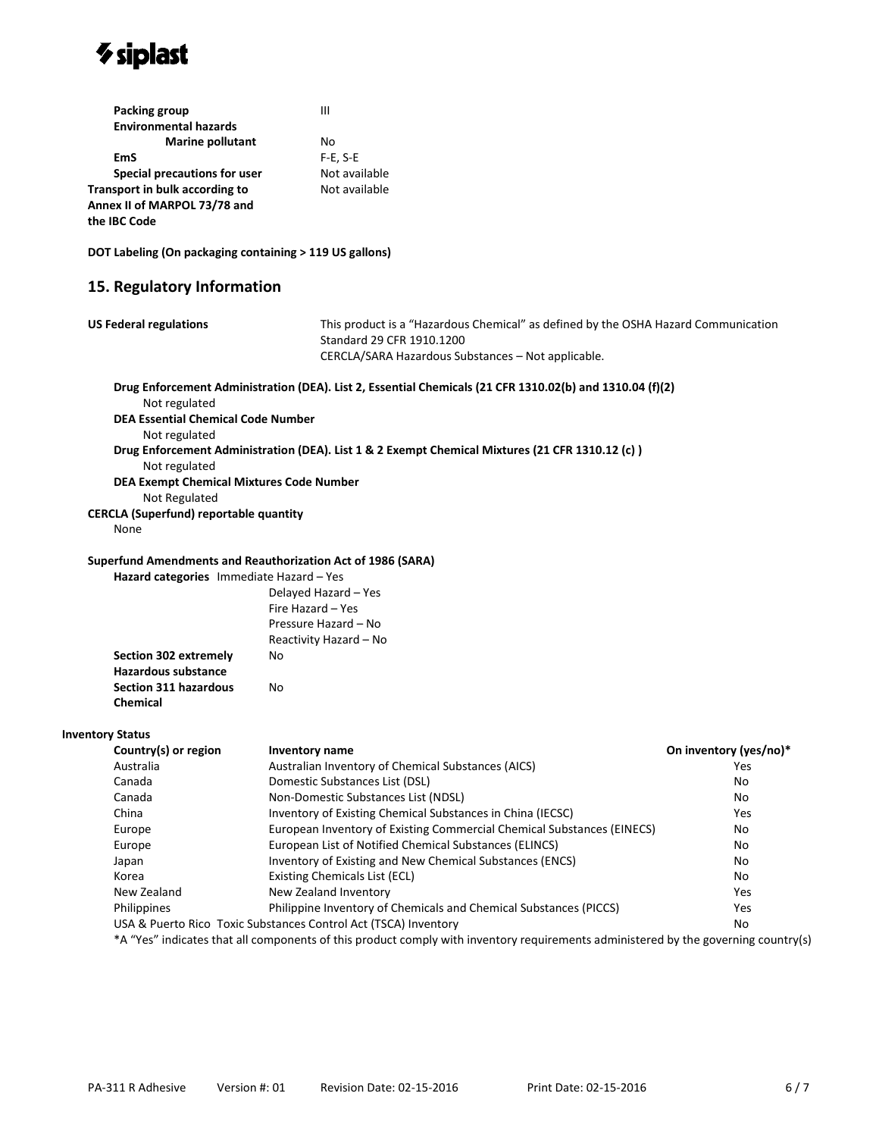

| Packing group                  | Ш             |
|--------------------------------|---------------|
| <b>Environmental hazards</b>   |               |
| <b>Marine pollutant</b>        | Nο            |
| EmS                            | $F-E, S-E$    |
| Special precautions for user   | Not available |
| Transport in bulk according to | Not available |
| Annex II of MARPOL 73/78 and   |               |
| the IBC Code                   |               |

**DOT Labeling (On packaging containing > 119 US gallons)**

#### **15. Regulatory Information**

| <b>US Federal regulations</b><br>This product is a "Hazardous Chemical" as defined by the OSHA Hazard Communication<br>Standard 29 CFR 1910.1200 |                                                                                                                                    |                        |
|--------------------------------------------------------------------------------------------------------------------------------------------------|------------------------------------------------------------------------------------------------------------------------------------|------------------------|
|                                                                                                                                                  | CERCLA/SARA Hazardous Substances - Not applicable.                                                                                 |                        |
|                                                                                                                                                  | Drug Enforcement Administration (DEA). List 2, Essential Chemicals (21 CFR 1310.02(b) and 1310.04 (f)(2)                           |                        |
| Not regulated                                                                                                                                    |                                                                                                                                    |                        |
| <b>DEA Essential Chemical Code Number</b>                                                                                                        |                                                                                                                                    |                        |
| Not regulated                                                                                                                                    |                                                                                                                                    |                        |
|                                                                                                                                                  | Drug Enforcement Administration (DEA). List 1 & 2 Exempt Chemical Mixtures (21 CFR 1310.12 (c))                                    |                        |
| Not regulated                                                                                                                                    |                                                                                                                                    |                        |
| <b>DEA Exempt Chemical Mixtures Code Number</b>                                                                                                  |                                                                                                                                    |                        |
| Not Regulated                                                                                                                                    |                                                                                                                                    |                        |
| <b>CERCLA (Superfund) reportable quantity</b>                                                                                                    |                                                                                                                                    |                        |
| None                                                                                                                                             |                                                                                                                                    |                        |
|                                                                                                                                                  | Superfund Amendments and Reauthorization Act of 1986 (SARA)                                                                        |                        |
| Hazard categories Immediate Hazard - Yes                                                                                                         |                                                                                                                                    |                        |
|                                                                                                                                                  | Delayed Hazard - Yes                                                                                                               |                        |
|                                                                                                                                                  | Fire Hazard - Yes                                                                                                                  |                        |
|                                                                                                                                                  | Pressure Hazard - No                                                                                                               |                        |
|                                                                                                                                                  | Reactivity Hazard - No                                                                                                             |                        |
| Section 302 extremely                                                                                                                            | No                                                                                                                                 |                        |
| Hazardous substance                                                                                                                              |                                                                                                                                    |                        |
| <b>Section 311 hazardous</b>                                                                                                                     | No                                                                                                                                 |                        |
| <b>Chemical</b>                                                                                                                                  |                                                                                                                                    |                        |
| <b>Inventory Status</b>                                                                                                                          |                                                                                                                                    |                        |
| Country(s) or region                                                                                                                             | Inventory name                                                                                                                     | On inventory (yes/no)* |
| Australia                                                                                                                                        | Australian Inventory of Chemical Substances (AICS)                                                                                 | Yes                    |
| Canada                                                                                                                                           | Domestic Substances List (DSL)                                                                                                     | No                     |
| Canada                                                                                                                                           | Non-Domestic Substances List (NDSL)                                                                                                | No                     |
| China                                                                                                                                            | Inventory of Existing Chemical Substances in China (IECSC)                                                                         | Yes                    |
| Europe                                                                                                                                           | European Inventory of Existing Commercial Chemical Substances (EINECS)                                                             | No                     |
| Europe                                                                                                                                           | European List of Notified Chemical Substances (ELINCS)                                                                             | No                     |
| Japan                                                                                                                                            | Inventory of Existing and New Chemical Substances (ENCS)                                                                           | No                     |
| Korea                                                                                                                                            | <b>Existing Chemicals List (ECL)</b>                                                                                               | No                     |
| New Zealand                                                                                                                                      | New Zealand Inventory                                                                                                              | Yes                    |
| Philippines                                                                                                                                      | Philippine Inventory of Chemicals and Chemical Substances (PICCS)                                                                  | Yes                    |
|                                                                                                                                                  | USA & Puerto Rico Toxic Substances Control Act (TSCA) Inventory                                                                    | No                     |
|                                                                                                                                                  | *A "Yes" indicates that all components of this product comply with inventory requirements administered by the governing country(s) |                        |